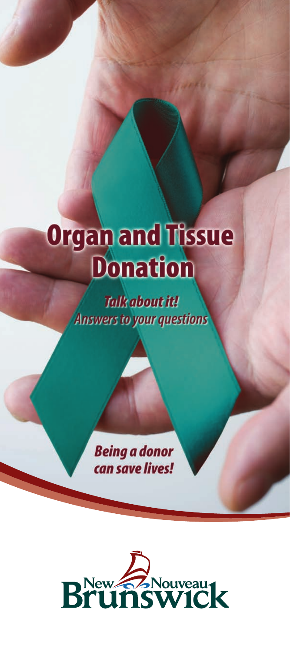# **Organ and Tissue Donation**

**Talk about it! Answers to your questions** 

> **Being a donor** can save lives!

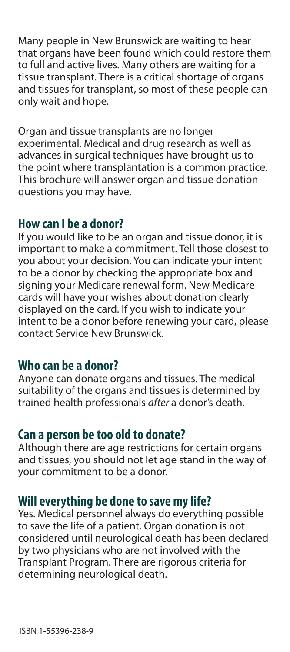Many people in New Brunswick are waiting to hear that organs have been found which could restore them to full and active lives. Many others are waiting for a tissue transplant. There is a critical shortage of organs and tissues for transplant, so most of these people can only wait and hope.

Organ and tissue transplants are no longer experimental. Medical and drug research as well as advances in surgical techniques have brought us to the point where transplantation is a common practice. This brochure will answer organ and tissue donation questions you may have.

#### **How can I be a donor?**

If you would like to be an organ and tissue donor, it is important to make a commitment. Tell those closest to you about your decision. You can indicate your intent to be a donor by checking the appropriate box and signing your Medicare renewal form. New Medicare cards will have your wishes about donation clearly displayed on the card. If you wish to indicate your intent to be a donor before renewing your card, please contact Service New Brunswick.

## **Who can be a donor?**

Anyone can donate organs and tissues. The medical suitability of the organs and tissues is determined by trained health professionals *after* a donor's death.

### **Can a person be too old to donate?**

Although there are age restrictions for certain organs and tissues, you should not let age stand in the way of your commitment to be a donor.

#### **Will everything be done to save my life?**

Yes. Medical personnel always do everything possible to save the life of a patient. Organ donation is not considered until neurological death has been declared by two physicians who are not involved with the Transplant Program. There are rigorous criteria for determining neurological death.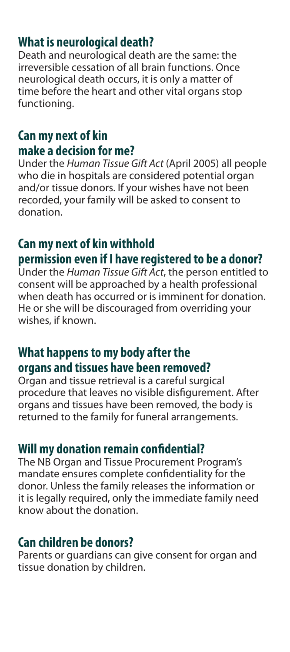# **What is neurological death?**

Death and neurological death are the same: the irreversible cessation of all brain functions. Once neurological death occurs, it is only a matter of time before the heart and other vital organs stop functioning.

# **Can my next of kin make a decision for me?**

Under the Human Tissue Gift Act (April 2005) all people who die in hospitals are considered potential organ and/or tissue donors. If your wishes have not been recorded, your family will be asked to consent to donation.

# **Can my next of kin withhold permission even if I have registered to be a donor?**

Under the Human Tissue Gift Act, the person entitled to consent will be approached by a health professional when death has occurred or is imminent for donation. He or she will be discouraged from overriding your wishes, if known.

# **What happens to my body after the organs and tissues have been removed?**

Organ and tissue retrieval is a careful surgical procedure that leaves no visible disfigurement. After organs and tissues have been removed, the body is returned to the family for funeral arrangements.

## **Will my donation remain confidential?**

The NB Organ and Tissue Procurement Program's mandate ensures complete confidentiality for the donor. Unless the family releases the information or it is legally required, only the immediate family need know about the donation.

## **Can children be donors?**

Parents or guardians can give consent for organ and tissue donation by children.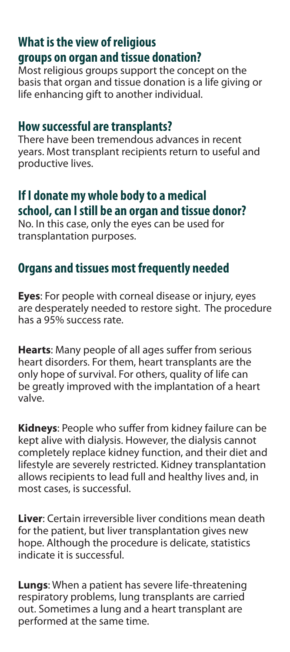# **What is the view of religious groups on organ and tissue donation?**

Most religious groups support the concept on the basis that organ and tissue donation is a life giving or life enhancing gift to another individual.

### **How successful are transplants?**

There have been tremendous advances in recent years. Most transplant recipients return to useful and productive lives.

# **If I donate my whole body to a medical school, can I still be an organ and tissue donor?**

No. In this case, only the eyes can be used for transplantation purposes.

# **Organs and tissues most frequently needed**

**Eyes**: For people with corneal disease or injury, eyes are desperately needed to restore sight. The procedure has a 95% success rate.

Hearts: Many people of all ages suffer from serious heart disorders. For them, heart transplants are the only hope of survival. For others, quality of life can be greatly improved with the implantation of a heart valve.

Kidneys: People who suffer from kidney failure can be kept alive with dialysis. However, the dialysis cannot completely replace kidney function, and their diet and lifestyle are severely restricted. Kidney transplantation allows recipients to lead full and healthy lives and, in most cases, is successful.

**Liver**: Certain irreversible liver conditions mean death for the patient, but liver transplantation gives new hope. Although the procedure is delicate, statistics indicate it is successful.

**Lungs**: When a patient has severe life-threatening respiratory problems, lung transplants are carried out. Sometimes a lung and a heart transplant are performed at the same time.